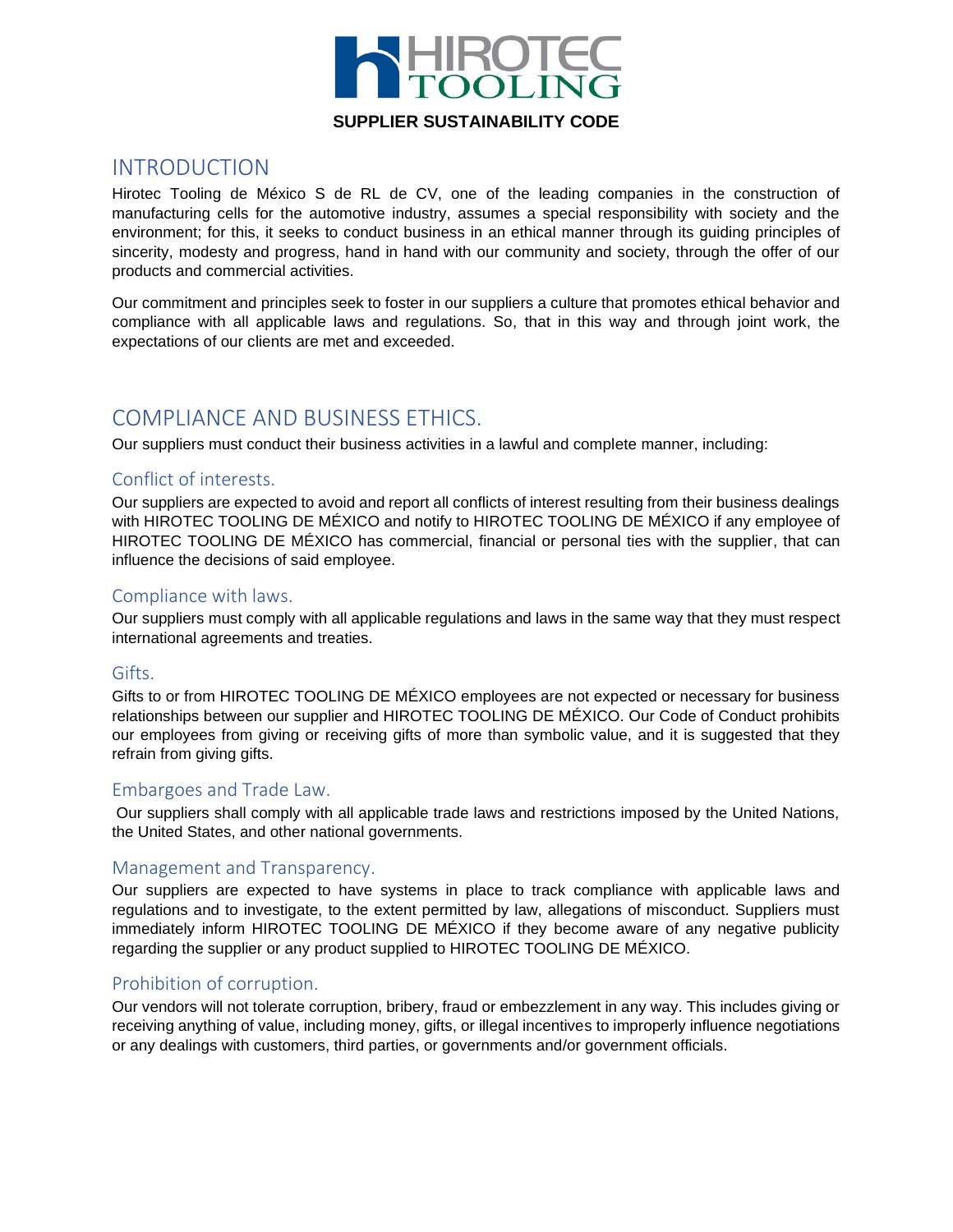

## **SUPPLIER SUSTAINABILITY CODE**

# INTRODUCTION

Hirotec Tooling de México S de RL de CV, one of the leading companies in the construction of manufacturing cells for the automotive industry, assumes a special responsibility with society and the environment; for this, it seeks to conduct business in an ethical manner through its guiding principles of sincerity, modesty and progress, hand in hand with our community and society, through the offer of our products and commercial activities.

Our commitment and principles seek to foster in our suppliers a culture that promotes ethical behavior and compliance with all applicable laws and regulations. So, that in this way and through joint work, the expectations of our clients are met and exceeded.

# COMPLIANCE AND BUSINESS ETHICS.

Our suppliers must conduct their business activities in a lawful and complete manner, including:

#### Conflict of interests.

Our suppliers are expected to avoid and report all conflicts of interest resulting from their business dealings with HIROTEC TOOLING DE MÉXICO and notify to HIROTEC TOOLING DE MÉXICO if any employee of HIROTEC TOOLING DE MÉXICO has commercial, financial or personal ties with the supplier, that can influence the decisions of said employee.

#### Compliance with laws.

Our suppliers must comply with all applicable regulations and laws in the same way that they must respect international agreements and treaties.

#### Gifts.

Gifts to or from HIROTEC TOOLING DE MÉXICO employees are not expected or necessary for business relationships between our supplier and HIROTEC TOOLING DE MÉXICO. Our Code of Conduct prohibits our employees from giving or receiving gifts of more than symbolic value, and it is suggested that they refrain from giving gifts.

#### Embargoes and Trade Law.

Our suppliers shall comply with all applicable trade laws and restrictions imposed by the United Nations, the United States, and other national governments.

#### Management and Transparency.

Our suppliers are expected to have systems in place to track compliance with applicable laws and regulations and to investigate, to the extent permitted by law, allegations of misconduct. Suppliers must immediately inform HIROTEC TOOLING DE MÉXICO if they become aware of any negative publicity regarding the supplier or any product supplied to HIROTEC TOOLING DE MÉXICO.

#### Prohibition of corruption.

Our vendors will not tolerate corruption, bribery, fraud or embezzlement in any way. This includes giving or receiving anything of value, including money, gifts, or illegal incentives to improperly influence negotiations or any dealings with customers, third parties, or governments and/or government officials.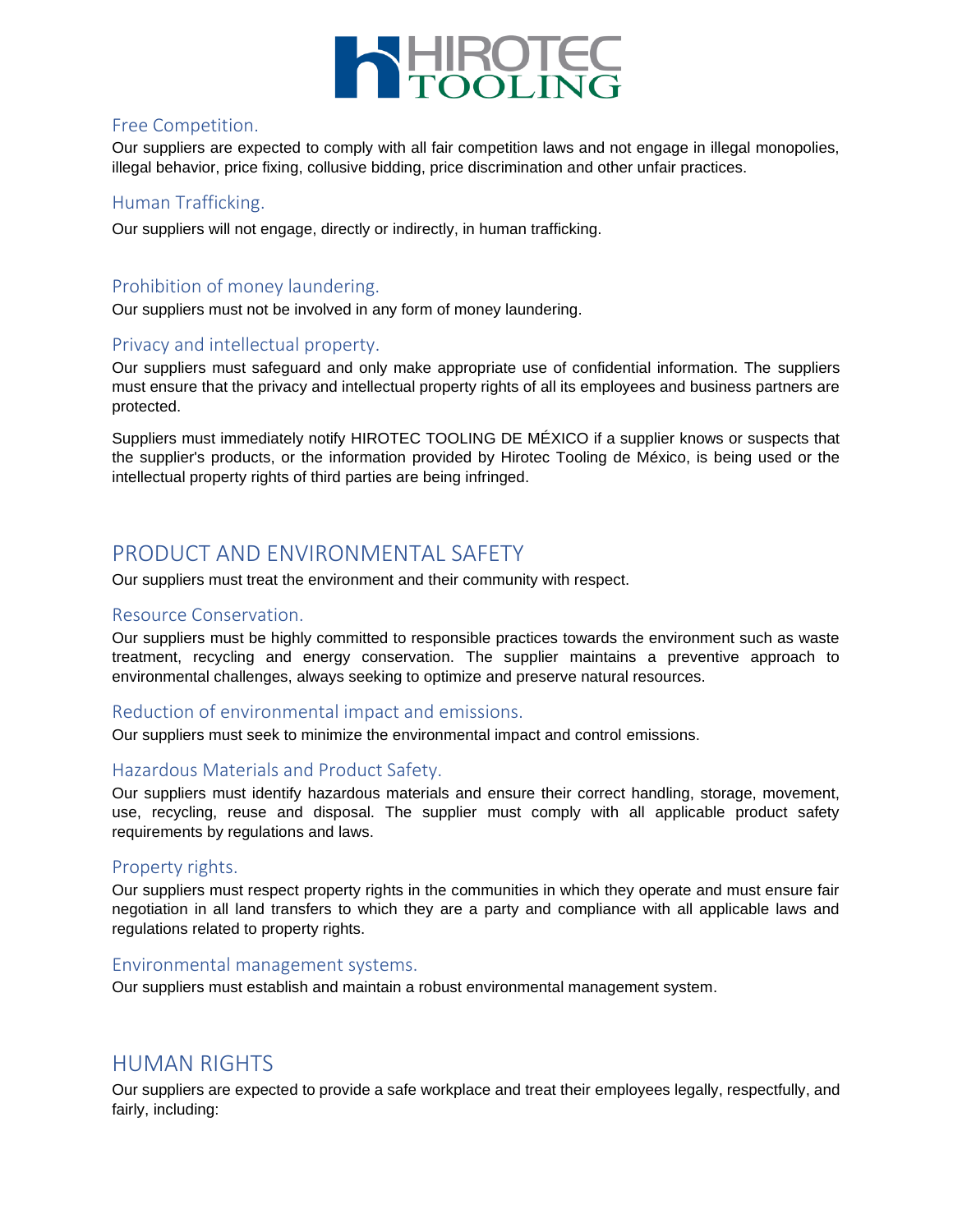

### Free Competition.

Our suppliers are expected to comply with all fair competition laws and not engage in illegal monopolies, illegal behavior, price fixing, collusive bidding, price discrimination and other unfair practices.

### Human Trafficking.

Our suppliers will not engage, directly or indirectly, in human trafficking.

## Prohibition of money laundering.

Our suppliers must not be involved in any form of money laundering.

## Privacy and intellectual property.

Our suppliers must safeguard and only make appropriate use of confidential information. The suppliers must ensure that the privacy and intellectual property rights of all its employees and business partners are protected.

Suppliers must immediately notify HIROTEC TOOLING DE MÉXICO if a supplier knows or suspects that the supplier's products, or the information provided by Hirotec Tooling de México, is being used or the intellectual property rights of third parties are being infringed.

# PRODUCT AND ENVIRONMENTAL SAFETY

Our suppliers must treat the environment and their community with respect.

#### Resource Conservation.

Our suppliers must be highly committed to responsible practices towards the environment such as waste treatment, recycling and energy conservation. The supplier maintains a preventive approach to environmental challenges, always seeking to optimize and preserve natural resources.

#### Reduction of environmental impact and emissions.

Our suppliers must seek to minimize the environmental impact and control emissions.

#### Hazardous Materials and Product Safety.

Our suppliers must identify hazardous materials and ensure their correct handling, storage, movement, use, recycling, reuse and disposal. The supplier must comply with all applicable product safety requirements by regulations and laws.

#### Property rights.

Our suppliers must respect property rights in the communities in which they operate and must ensure fair negotiation in all land transfers to which they are a party and compliance with all applicable laws and regulations related to property rights.

#### Environmental management systems.

Our suppliers must establish and maintain a robust environmental management system.

# HUMAN RIGHTS

Our suppliers are expected to provide a safe workplace and treat their employees legally, respectfully, and fairly, including: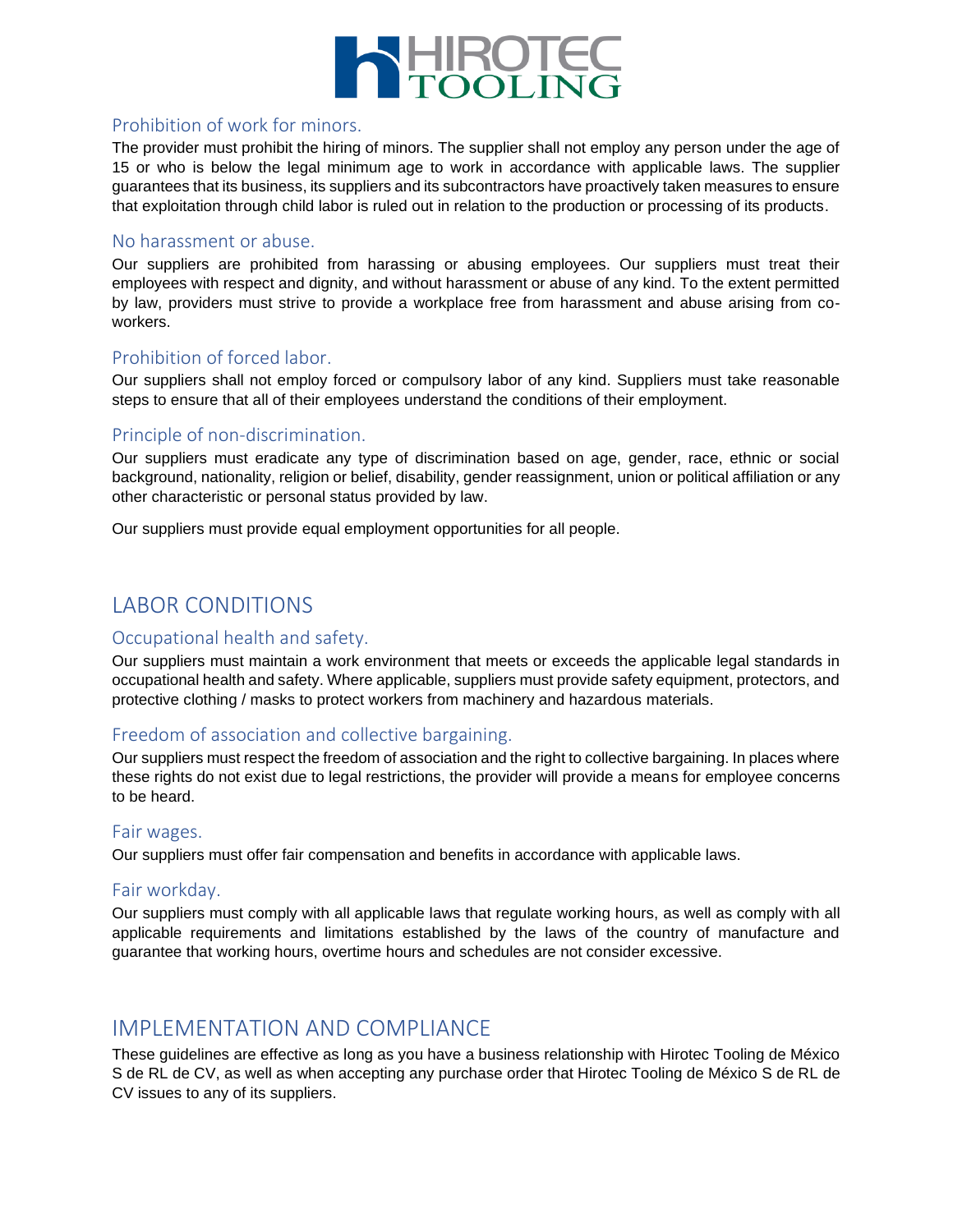

## Prohibition of work for minors.

The provider must prohibit the hiring of minors. The supplier shall not employ any person under the age of 15 or who is below the legal minimum age to work in accordance with applicable laws. The supplier guarantees that its business, its suppliers and its subcontractors have proactively taken measures to ensure that exploitation through child labor is ruled out in relation to the production or processing of its products.

#### No harassment or abuse.

Our suppliers are prohibited from harassing or abusing employees. Our suppliers must treat their employees with respect and dignity, and without harassment or abuse of any kind. To the extent permitted by law, providers must strive to provide a workplace free from harassment and abuse arising from coworkers.

#### Prohibition of forced labor.

Our suppliers shall not employ forced or compulsory labor of any kind. Suppliers must take reasonable steps to ensure that all of their employees understand the conditions of their employment.

## Principle of non-discrimination.

Our suppliers must eradicate any type of discrimination based on age, gender, race, ethnic or social background, nationality, religion or belief, disability, gender reassignment, union or political affiliation or any other characteristic or personal status provided by law.

Our suppliers must provide equal employment opportunities for all people.

# LABOR CONDITIONS

#### Occupational health and safety.

Our suppliers must maintain a work environment that meets or exceeds the applicable legal standards in occupational health and safety. Where applicable, suppliers must provide safety equipment, protectors, and protective clothing / masks to protect workers from machinery and hazardous materials.

#### Freedom of association and collective bargaining.

Our suppliers must respect the freedom of association and the right to collective bargaining. In places where these rights do not exist due to legal restrictions, the provider will provide a means for employee concerns to be heard.

#### Fair wages.

Our suppliers must offer fair compensation and benefits in accordance with applicable laws.

#### Fair workday.

Our suppliers must comply with all applicable laws that regulate working hours, as well as comply with all applicable requirements and limitations established by the laws of the country of manufacture and guarantee that working hours, overtime hours and schedules are not consider excessive.

## IMPLEMENTATION AND COMPLIANCE

These guidelines are effective as long as you have a business relationship with Hirotec Tooling de México S de RL de CV, as well as when accepting any purchase order that Hirotec Tooling de México S de RL de CV issues to any of its suppliers.